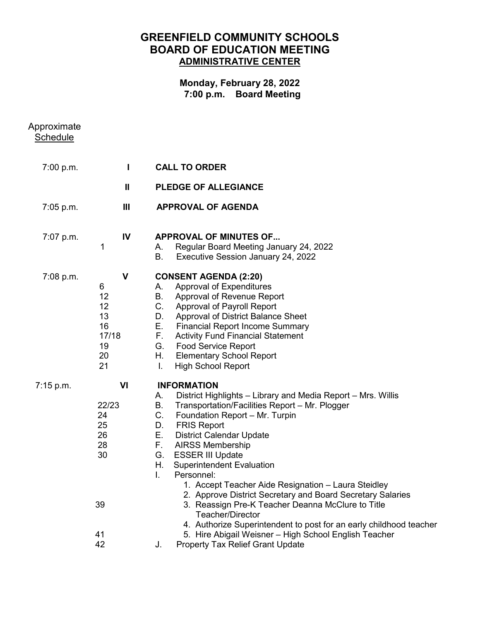# **GREENFIELD COMMUNITY SCHOOLS BOARD OF EDUCATION MEETING ADMINISTRATIVE CENTER**

## **Monday, February 28, 2022 7:00 p.m. Board Meeting**

| Approximate<br><b>Schedule</b> |                                                                     |                                                                                                                                                                                                                                                                                                                                                                                                                                                                                                                                                                                                                                                                          |
|--------------------------------|---------------------------------------------------------------------|--------------------------------------------------------------------------------------------------------------------------------------------------------------------------------------------------------------------------------------------------------------------------------------------------------------------------------------------------------------------------------------------------------------------------------------------------------------------------------------------------------------------------------------------------------------------------------------------------------------------------------------------------------------------------|
| 7:00 p.m.                      | H                                                                   | <b>CALL TO ORDER</b>                                                                                                                                                                                                                                                                                                                                                                                                                                                                                                                                                                                                                                                     |
|                                | $\mathbf{I}$                                                        | <b>PLEDGE OF ALLEGIANCE</b>                                                                                                                                                                                                                                                                                                                                                                                                                                                                                                                                                                                                                                              |
| 7:05 p.m.                      | Ш                                                                   | <b>APPROVAL OF AGENDA</b>                                                                                                                                                                                                                                                                                                                                                                                                                                                                                                                                                                                                                                                |
| 7:07 p.m.                      | IV<br>1                                                             | <b>APPROVAL OF MINUTES OF</b><br>Regular Board Meeting January 24, 2022<br>А.<br>В.<br>Executive Session January 24, 2022                                                                                                                                                                                                                                                                                                                                                                                                                                                                                                                                                |
| 7:08 p.m.                      | $\mathbf v$<br>6<br>12<br>12<br>13<br>16<br>17/18<br>19<br>20<br>21 | <b>CONSENT AGENDA (2:20)</b><br><b>Approval of Expenditures</b><br>А.<br>В.<br>Approval of Revenue Report<br>C.<br><b>Approval of Payroll Report</b><br>Approval of District Balance Sheet<br>D.<br>Е.<br><b>Financial Report Income Summary</b><br>F.<br><b>Activity Fund Financial Statement</b><br>G.<br><b>Food Service Report</b><br>Η.<br><b>Elementary School Report</b><br><b>High School Report</b><br>I.                                                                                                                                                                                                                                                       |
| 7:15 p.m.                      | VI<br>22/23<br>24<br>25<br>26<br>28<br>30<br>39                     | <b>INFORMATION</b><br>District Highlights - Library and Media Report - Mrs. Willis<br>А.<br>В.<br>Transportation/Facilities Report - Mr. Plogger<br>C.<br>Foundation Report - Mr. Turpin<br><b>FRIS Report</b><br>D.<br>Ε.<br><b>District Calendar Update</b><br>F.<br><b>AIRSS Membership</b><br>G.<br><b>ESSER III Update</b><br>Η.<br><b>Superintendent Evaluation</b><br>I.<br>Personnel:<br>1. Accept Teacher Aide Resignation - Laura Steidley<br>2. Approve District Secretary and Board Secretary Salaries<br>3. Reassign Pre-K Teacher Deanna McClure to Title<br><b>Teacher/Director</b><br>4. Authorize Superintendent to post for an early childhood teacher |
|                                | 41<br>42                                                            | 5. Hire Abigail Weisner - High School English Teacher<br><b>Property Tax Relief Grant Update</b><br>J.                                                                                                                                                                                                                                                                                                                                                                                                                                                                                                                                                                   |